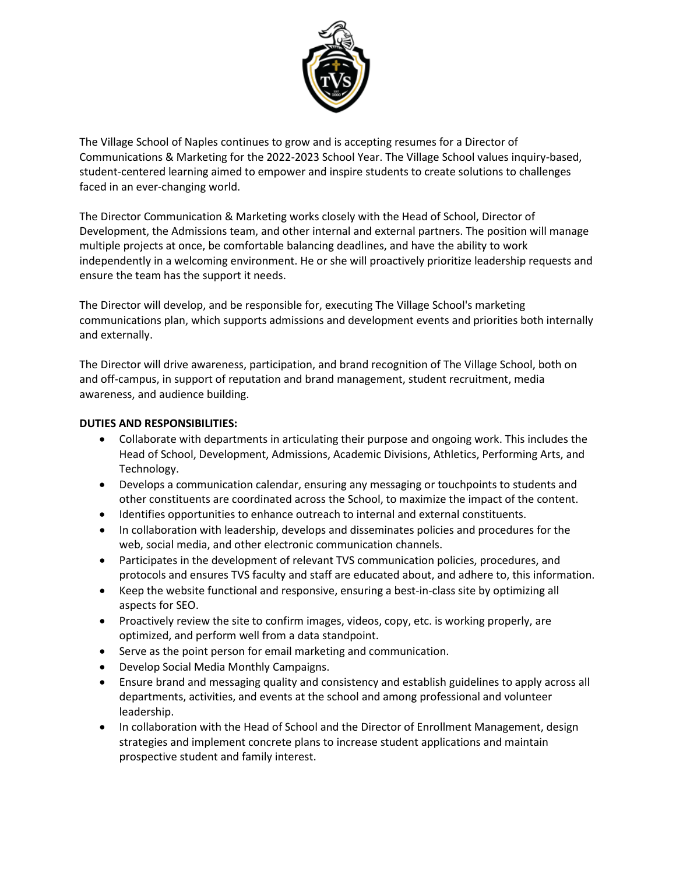

The Village School of Naples continues to grow and is accepting resumes for a Director of Communications & Marketing for the 2022-2023 School Year. The Village School values inquiry-based, student-centered learning aimed to empower and inspire students to create solutions to challenges faced in an ever-changing world.

The Director Communication & Marketing works closely with the Head of School, Director of Development, the Admissions team, and other internal and external partners. The position will manage multiple projects at once, be comfortable balancing deadlines, and have the ability to work independently in a welcoming environment. He or she will proactively prioritize leadership requests and ensure the team has the support it needs.

The Director will develop, and be responsible for, executing The Village School's marketing communications plan, which supports admissions and development events and priorities both internally and externally.

The Director will drive awareness, participation, and brand recognition of The Village School, both on and off-campus, in support of reputation and brand management, student recruitment, media awareness, and audience building.

## **DUTIES AND RESPONSIBILITIES:**

- Collaborate with departments in articulating their purpose and ongoing work. This includes the Head of School, Development, Admissions, Academic Divisions, Athletics, Performing Arts, and Technology.
- Develops a communication calendar, ensuring any messaging or touchpoints to students and other constituents are coordinated across the School, to maximize the impact of the content.
- Identifies opportunities to enhance outreach to internal and external constituents.
- In collaboration with leadership, develops and disseminates policies and procedures for the web, social media, and other electronic communication channels.
- Participates in the development of relevant TVS communication policies, procedures, and protocols and ensures TVS faculty and staff are educated about, and adhere to, this information.
- Keep the website functional and responsive, ensuring a best-in-class site by optimizing all aspects for SEO.
- Proactively review the site to confirm images, videos, copy, etc. is working properly, are optimized, and perform well from a data standpoint.
- Serve as the point person for email marketing and communication.
- Develop Social Media Monthly Campaigns.
- Ensure brand and messaging quality and consistency and establish guidelines to apply across all departments, activities, and events at the school and among professional and volunteer leadership.
- In collaboration with the Head of School and the Director of Enrollment Management, design strategies and implement concrete plans to increase student applications and maintain prospective student and family interest.